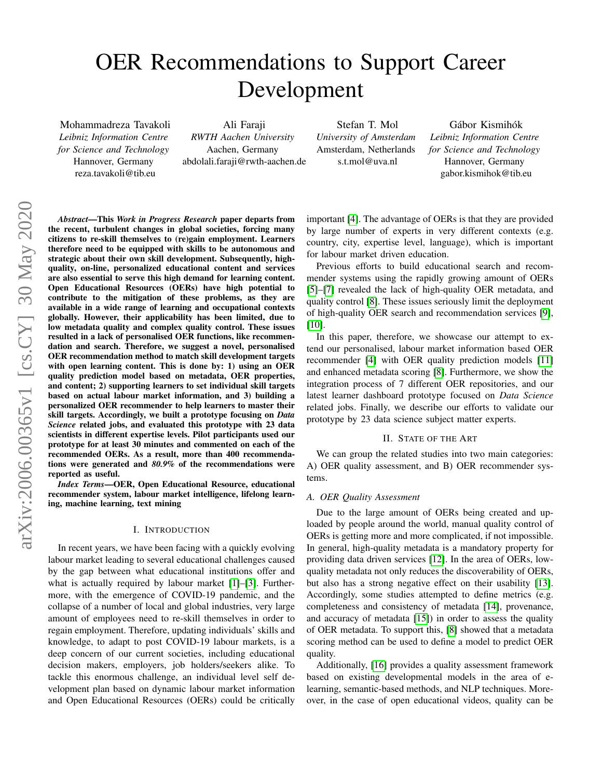# <span id="page-0-0"></span>OER Recommendations to Support Career Development

Mohammadreza Tavakoli *Leibniz Information Centre for Science and Technology* Hannover, Germany reza.tavakoli@tib.eu

Ali Faraji *RWTH Aachen University* Aachen, Germany abdolali.faraji@rwth-aachen.de

Stefan T. Mol *University of Amsterdam* Amsterdam, Netherlands s.t.mol@uva.nl

Gábor Kismihók *Leibniz Information Centre for Science and Technology* Hannover, Germany gabor.kismihok@tib.eu

*Abstract*—This *Work in Progress Research* paper departs from the recent, turbulent changes in global societies, forcing many citizens to re-skill themselves to (re)gain employment. Learners therefore need to be equipped with skills to be autonomous and strategic about their own skill development. Subsequently, highquality, on-line, personalized educational content and services are also essential to serve this high demand for learning content. Open Educational Resources (OERs) have high potential to contribute to the mitigation of these problems, as they are available in a wide range of learning and occupational contexts globally. However, their applicability has been limited, due to low metadata quality and complex quality control. These issues resulted in a lack of personalised OER functions, like recommendation and search. Therefore, we suggest a novel, personalised OER recommendation method to match skill development targets with open learning content. This is done by: 1) using an OER quality prediction model based on metadata, OER properties, and content; 2) supporting learners to set individual skill targets based on actual labour market information, and 3) building a personalized OER recommender to help learners to master their skill targets. Accordingly, we built a prototype focusing on *Data Science* related jobs, and evaluated this prototype with 23 data scientists in different expertise levels. Pilot participants used our prototype for at least 30 minutes and commented on each of the recommended OERs. As a result, more than 400 recommendations were generated and *80.9%* of the recommendations were reported as useful.

*Index Terms*—OER, Open Educational Resource, educational recommender system, labour market intelligence, lifelong learning, machine learning, text mining

# I. INTRODUCTION

In recent years, we have been facing with a quickly evolving labour market leading to several educational challenges caused by the gap between what educational institutions offer and what is actually required by labour market [\[1\]](#page-3-0)–[\[3\]](#page-3-1). Furthermore, with the emergence of COVID-19 pandemic, and the collapse of a number of local and global industries, very large amount of employees need to re-skill themselves in order to regain employment. Therefore, updating individuals' skills and knowledge, to adapt to post COVID-19 labour markets, is a deep concern of our current societies, including educational decision makers, employers, job holders/seekers alike. To tackle this enormous challenge, an individual level self development plan based on dynamic labour market information and Open Educational Resources (OERs) could be critically important [\[4\]](#page-4-0). The advantage of OERs is that they are provided by large number of experts in very different contexts (e.g. country, city, expertise level, language), which is important for labour market driven education.

Previous efforts to build educational search and recommender systems using the rapidly growing amount of OERs [\[5\]](#page-4-1)–[\[7\]](#page-4-2) revealed the lack of high-quality OER metadata, and quality control [\[8\]](#page-4-3). These issues seriously limit the deployment of high-quality OER search and recommendation services [\[9\]](#page-4-4),  $[10]$ .

In this paper, therefore, we showcase our attempt to extend our personalised, labour market information based OER recommender [\[4\]](#page-4-0) with OER quality prediction models [\[11\]](#page-4-6) and enhanced metadata scoring [\[8\]](#page-4-3). Furthermore, we show the integration process of 7 different OER repositories, and our latest learner dashboard prototype focused on *Data Science* related jobs. Finally, we describe our efforts to validate our prototype by 23 data science subject matter experts.

## II. STATE OF THE ART

We can group the related studies into two main categories: A) OER quality assessment, and B) OER recommender systems.

#### *A. OER Quality Assessment*

Due to the large amount of OERs being created and uploaded by people around the world, manual quality control of OERs is getting more and more complicated, if not impossible. In general, high-quality metadata is a mandatory property for providing data driven services [\[12\]](#page-4-7). In the area of OERs, lowquality metadata not only reduces the discoverability of OERs, but also has a strong negative effect on their usability [\[13\]](#page-4-8). Accordingly, some studies attempted to define metrics (e.g. completeness and consistency of metadata [\[14\]](#page-4-9), provenance, and accuracy of metadata [\[15\]](#page-4-10)) in order to assess the quality of OER metadata. To support this, [\[8\]](#page-4-3) showed that a metadata scoring method can be used to define a model to predict OER quality.

Additionally, [\[16\]](#page-4-11) provides a quality assessment framework based on existing developmental models in the area of elearning, semantic-based methods, and NLP techniques. Moreover, in the case of open educational videos, quality can be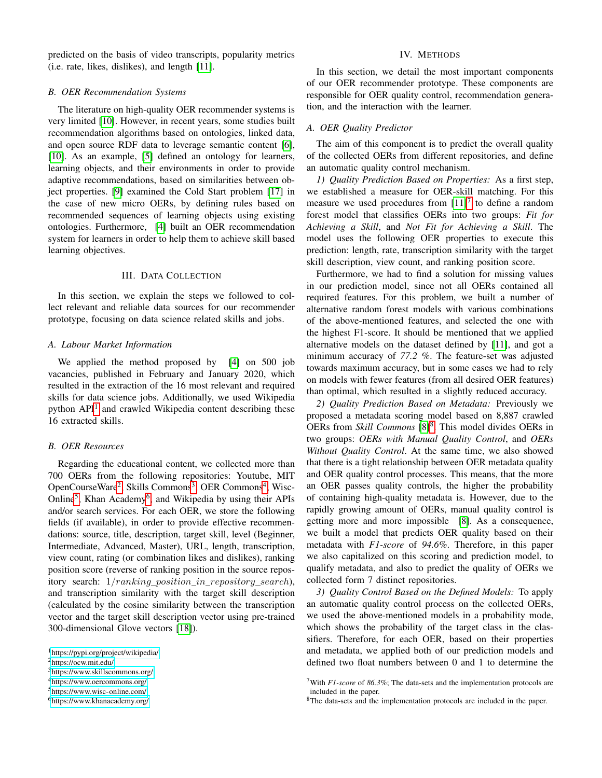predicted on the basis of video transcripts, popularity metrics (i.e. rate, likes, dislikes), and length [\[11\]](#page-4-6).

## *B. OER Recommendation Systems*

The literature on high-quality OER recommender systems is very limited [\[10\]](#page-4-5). However, in recent years, some studies built recommendation algorithms based on ontologies, linked data, and open source RDF data to leverage semantic content [\[6\]](#page-4-12), [\[10\]](#page-4-5). As an example, [\[5\]](#page-4-1) defined an ontology for learners, learning objects, and their environments in order to provide adaptive recommendations, based on similarities between object properties. [\[9\]](#page-4-4) examined the Cold Start problem [\[17\]](#page-4-13) in the case of new micro OERs, by defining rules based on recommended sequences of learning objects using existing ontologies. Furthermore, [\[4\]](#page-4-0) built an OER recommendation system for learners in order to help them to achieve skill based learning objectives.

# III. DATA COLLECTION

In this section, we explain the steps we followed to collect relevant and reliable data sources for our recommender prototype, focusing on data science related skills and jobs.

## *A. Labour Market Information*

We applied the method proposed by [\[4\]](#page-4-0) on 500 job vacancies, published in February and January 2020, which resulted in the extraction of the 16 most relevant and required skills for data science jobs. Additionally, we used Wikipedia python API<sup>[1](#page-0-0)</sup> and crawled Wikipedia content describing these 16 extracted skills.

# *B. OER Resources*

Regarding the educational content, we collected more than 700 OERs from the following repositories: Youtube, MIT OpenCourseWare<sup>[2](#page-0-0)</sup>, Skills Commons<sup>[3](#page-0-0)</sup>, OER Commons<sup>[4](#page-0-0)</sup>, Wisc-Online<sup>[5](#page-0-0)</sup>, Khan Academy<sup>[6](#page-0-0)</sup>, and Wikipedia by using their APIs and/or search services. For each OER, we store the following fields (if available), in order to provide effective recommendations: source, title, description, target skill, level (Beginner, Intermediate, Advanced, Master), URL, length, transcription, view count, rating (or combination likes and dislikes), ranking position score (reverse of ranking position in the source repository search:  $1/ranking\_position\_in\_repository\_search$ ), and transcription similarity with the target skill description (calculated by the cosine similarity between the transcription vector and the target skill description vector using pre-trained 300-dimensional Glove vectors [\[18\]](#page-4-14)).

<sup>5</sup><https://www.wisc-online.com/>

## IV. METHODS

In this section, we detail the most important components of our OER recommender prototype. These components are responsible for OER quality control, recommendation generation, and the interaction with the learner.

## *A. OER Quality Predictor*

The aim of this component is to predict the overall quality of the collected OERs from different repositories, and define an automatic quality control mechanism.

*1) Quality Prediction Based on Properties:* As a first step, we established a measure for OER-skill matching. For this measure we used procedures from  $[11]<sup>7</sup>$  $[11]<sup>7</sup>$  $[11]<sup>7</sup>$  $[11]<sup>7</sup>$  to define a random forest model that classifies OERs into two groups: *Fit for Achieving a Skill*, and *Not Fit for Achieving a Skill*. The model uses the following OER properties to execute this prediction: length, rate, transcription similarity with the target skill description, view count, and ranking position score.

Furthermore, we had to find a solution for missing values in our prediction model, since not all OERs contained all required features. For this problem, we built a number of alternative random forest models with various combinations of the above-mentioned features, and selected the one with the highest F1-score. It should be mentioned that we applied alternative models on the dataset defined by [\[11\]](#page-4-6), and got a minimum accuracy of *77.2 %*. The feature-set was adjusted towards maximum accuracy, but in some cases we had to rely on models with fewer features (from all desired OER features) than optimal, which resulted in a slightly reduced accuracy.

*2) Quality Prediction Based on Metadata:* Previously we proposed a metadata scoring model based on 8,887 crawled OERs from *Skill Commons* [\[8\]](#page-4-3)<sup>[8](#page-0-0)</sup>. This model divides OERs in two groups: *OERs with Manual Quality Control*, and *OERs Without Quality Control*. At the same time, we also showed that there is a tight relationship between OER metadata quality and OER quality control processes. This means, that the more an OER passes quality controls, the higher the probability of containing high-quality metadata is. However, due to the rapidly growing amount of OERs, manual quality control is getting more and more impossible [\[8\]](#page-4-3). As a consequence, we built a model that predicts OER quality based on their metadata with *F1-score* of *94.6%*. Therefore, in this paper we also capitalized on this scoring and prediction model, to qualify metadata, and also to predict the quality of OERs we collected form 7 distinct repositories.

*3) Quality Control Based on the Defined Models:* To apply an automatic quality control process on the collected OERs, we used the above-mentioned models in a probability mode, which shows the probability of the target class in the classifiers. Therefore, for each OER, based on their properties and metadata, we applied both of our prediction models and defined two float numbers between 0 and 1 to determine the

<sup>1</sup><https://pypi.org/project/wikipedia/>

<sup>2</sup><https://ocw.mit.edu/>

<sup>3</sup><https://www.skillscommons.org/> <sup>4</sup><https://www.oercommons.org/>

<sup>6</sup><https://www.khanacademy.org/>

<sup>7</sup>With *F1-score* of *86.3%*; The data-sets and the implementation protocols are included in the paper.

<sup>8</sup>The data-sets and the implementation protocols are included in the paper.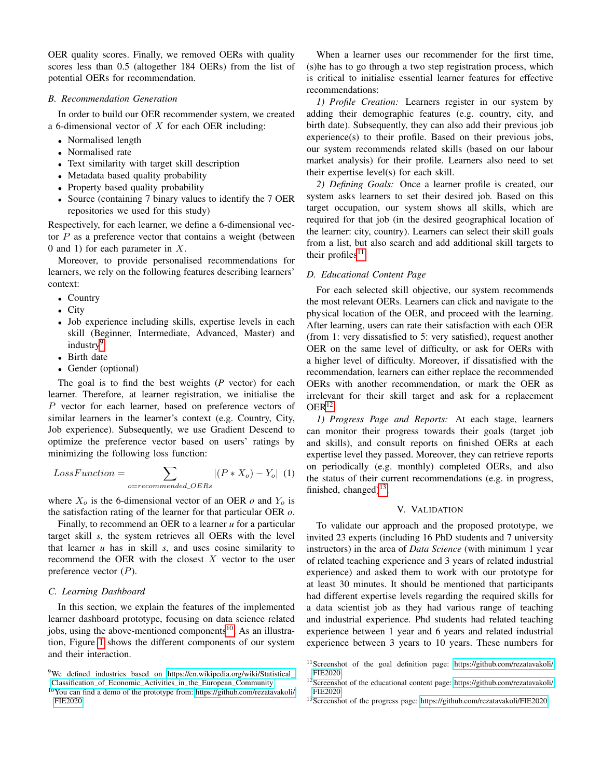OER quality scores. Finally, we removed OERs with quality scores less than 0.5 (altogether 184 OERs) from the list of potential OERs for recommendation.

# *B. Recommendation Generation*

In order to build our OER recommender system, we created a 6-dimensional vector of  $X$  for each OER including:

- Normalised length
- Normalised rate
- Text similarity with target skill description
- Metadata based quality probability
- Property based quality probability
- Source (containing 7 binary values to identify the 7 OER repositories we used for this study)

Respectively, for each learner, we define a 6-dimensional vector  $P$  as a preference vector that contains a weight (between 0 and 1) for each parameter in  $X$ .

Moreover, to provide personalised recommendations for learners, we rely on the following features describing learners' context:

- Country
- City
- Job experience including skills, expertise levels in each skill (Beginner, Intermediate, Advanced, Master) and industry<sup>[9](#page-0-0)</sup>
- Birth date
- Gender (optional)

The goal is to find the best weights (*P* vector) for each learner. Therefore, at learner registration, we initialise the P vector for each learner, based on preference vectors of similar learners in the learner's context (e.g. Country, City, Job experience). Subsequently, we use Gradient Descend to optimize the preference vector based on users' ratings by minimizing the following loss function:

$$
LossFunction = \sum_{o=recommented\_OERS} |(P * X_o) - Y_o| \tag{1}
$$

where  $X_o$  is the 6-dimensional vector of an OER  $o$  and  $Y_o$  is the satisfaction rating of the learner for that particular OER *o*.

Finally, to recommend an OER to a learner *u* for a particular target skill *s*, the system retrieves all OERs with the level that learner *u* has in skill *s*, and uses cosine similarity to recommend the OER with the closest  $X$  vector to the user preference vector  $(P)$ .

## *C. Learning Dashboard*

In this section, we explain the features of the implemented learner dashboard prototype, focusing on data science related jobs, using the above-mentioned components<sup>[10](#page-0-0)</sup>. As an illustration, Figure [1](#page-3-2) shows the different components of our system and their interaction.

When a learner uses our recommender for the first time, (s)he has to go through a two step registration process, which is critical to initialise essential learner features for effective recommendations:

*1) Profile Creation:* Learners register in our system by adding their demographic features (e.g. country, city, and birth date). Subsequently, they can also add their previous job experience(s) to their profile. Based on their previous jobs, our system recommends related skills (based on our labour market analysis) for their profile. Learners also need to set their expertise level(s) for each skill.

*2) Defining Goals:* Once a learner profile is created, our system asks learners to set their desired job. Based on this target occupation, our system shows all skills, which are required for that job (in the desired geographical location of the learner: city, country). Learners can select their skill goals from a list, but also search and add additional skill targets to their profiles<sup>[11](#page-0-0)</sup>.

# *D. Educational Content Page*

For each selected skill objective, our system recommends the most relevant OERs. Learners can click and navigate to the physical location of the OER, and proceed with the learning. After learning, users can rate their satisfaction with each OER (from 1: very dissatisfied to 5: very satisfied), request another OER on the same level of difficulty, or ask for OERs with a higher level of difficulty. Moreover, if dissatisfied with the recommendation, learners can either replace the recommended OERs with another recommendation, or mark the OER as irrelevant for their skill target and ask for a replacement  $OER^{12}$  $OER^{12}$  $OER^{12}$ .

*1) Progress Page and Reports:* At each stage, learners can monitor their progress towards their goals (target job and skills), and consult reports on finished OERs at each expertise level they passed. Moreover, they can retrieve reports on periodically (e.g. monthly) completed OERs, and also the status of their current recommendations (e.g. in progress, finished, changed) $^{13}$  $^{13}$  $^{13}$ .

# V. VALIDATION

To validate our approach and the proposed prototype, we invited 23 experts (including 16 PhD students and 7 university instructors) in the area of *Data Science* (with minimum 1 year of related teaching experience and 3 years of related industrial experience) and asked them to work with our prototype for at least 30 minutes. It should be mentioned that participants had different expertise levels regarding the required skills for a data scientist job as they had various range of teaching and industrial experience. Phd students had related teaching experience between 1 year and 6 years and related industrial experience between 3 years to 10 years. These numbers for

<sup>13</sup>Screenshot of the progress page:<https://github.com/rezatavakoli/FIE2020>

<sup>&</sup>lt;sup>9</sup>We defined industries based on [https://en.wikipedia.org/wiki/Statistical](https://en.wikipedia.org/wiki/Statistical_Classification_of_Economic_Activities_in_the_European_Community)\_ [Classification](https://en.wikipedia.org/wiki/Statistical_Classification_of_Economic_Activities_in_the_European_Community) of Economic Activities in the European Community

 $10$ You can find a demo of the prototype from: [https://github.com/rezatavakoli/](https://github.com/rezatavakoli/FIE2020) [FIE2020](https://github.com/rezatavakoli/FIE2020)

<sup>11</sup>Screenshot of the goal definition page: [https://github.com/rezatavakoli/](https://github.com/rezatavakoli/FIE2020) [FIE2020](https://github.com/rezatavakoli/FIE2020)

<sup>12</sup>Screenshot of the educational content page: [https://github.com/rezatavakoli/](https://github.com/rezatavakoli/FIE2020) [FIE2020](https://github.com/rezatavakoli/FIE2020)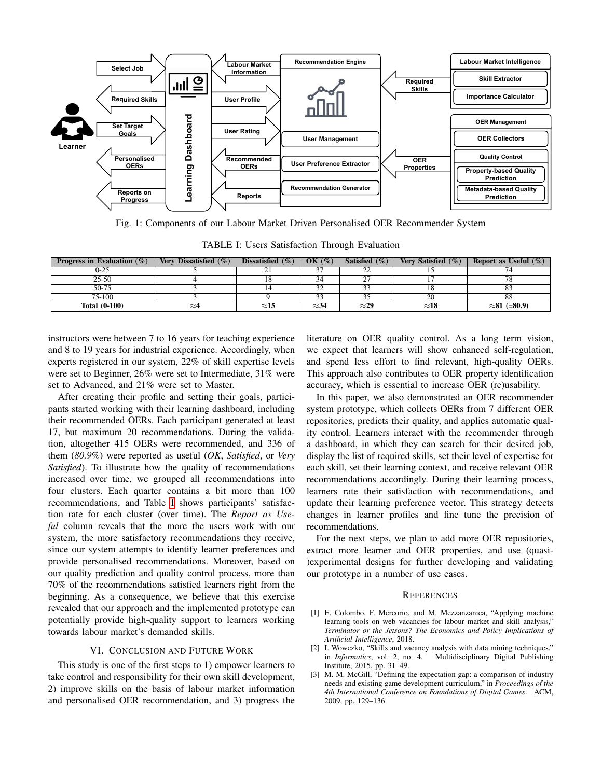<span id="page-3-2"></span>

Fig. 1: Components of our Labour Market Driven Personalised OER Recommender System

TABLE I: Users Satisfaction Through Evaluation

<span id="page-3-3"></span>

| <b>Progress in Evaluation</b> $(\%)$ | Very Dissatisfied $(\%)$ | Dissatisfied $(\% )$ | OK $(\%)$    | Satisfied $(\% )$ | Very Satisfied $(\% )$ | <b>Report as Useful</b> $(\%)$ |
|--------------------------------------|--------------------------|----------------------|--------------|-------------------|------------------------|--------------------------------|
| 0-25                                 |                          |                      |              | ∸                 |                        |                                |
| $25 - 50$                            |                          |                      | 34           |                   |                        | $\pi$ c                        |
| 50-75                                |                          |                      | 32           |                   |                        |                                |
| 75-100                               |                          |                      | 33           |                   | 20                     | 88                             |
| <b>Total (0-100)</b>                 | $\approx$ 4              | $\approx$ 15         | $\approx$ 34 | $\approx$ 29      | $\approx$ 18           | $\approx 81$ (=80.9)           |

instructors were between 7 to 16 years for teaching experience and 8 to 19 years for industrial experience. Accordingly, when experts registered in our system, 22% of skill expertise levels were set to Beginner, 26% were set to Intermediate, 31% were set to Advanced, and 21% were set to Master.

After creating their profile and setting their goals, participants started working with their learning dashboard, including their recommended OERs. Each participant generated at least 17, but maximum 20 recommendations. During the validation, altogether 415 OERs were recommended, and 336 of them (*80.9%*) were reported as useful (*OK*, *Satisfied*, or *Very Satisfied*). To illustrate how the quality of recommendations increased over time, we grouped all recommendations into four clusters. Each quarter contains a bit more than 100 recommendations, and Table [I](#page-3-3) shows participants' satisfaction rate for each cluster (over time). The *Report as Useful* column reveals that the more the users work with our system, the more satisfactory recommendations they receive, since our system attempts to identify learner preferences and provide personalised recommendations. Moreover, based on our quality prediction and quality control process, more than 70% of the recommendations satisfied learners right from the beginning. As a consequence, we believe that this exercise revealed that our approach and the implemented prototype can potentially provide high-quality support to learners working towards labour market's demanded skills.

#### VI. CONCLUSION AND FUTURE WORK

This study is one of the first steps to 1) empower learners to take control and responsibility for their own skill development, 2) improve skills on the basis of labour market information and personalised OER recommendation, and 3) progress the literature on OER quality control. As a long term vision, we expect that learners will show enhanced self-regulation, and spend less effort to find relevant, high-quality OERs. This approach also contributes to OER property identification accuracy, which is essential to increase OER (re)usability.

In this paper, we also demonstrated an OER recommender system prototype, which collects OERs from 7 different OER repositories, predicts their quality, and applies automatic quality control. Learners interact with the recommender through a dashboard, in which they can search for their desired job, display the list of required skills, set their level of expertise for each skill, set their learning context, and receive relevant OER recommendations accordingly. During their learning process, learners rate their satisfaction with recommendations, and update their learning preference vector. This strategy detects changes in learner profiles and fine tune the precision of recommendations.

For the next steps, we plan to add more OER repositories, extract more learner and OER properties, and use (quasi- )experimental designs for further developing and validating our prototype in a number of use cases.

## **REFERENCES**

- <span id="page-3-0"></span>[1] E. Colombo, F. Mercorio, and M. Mezzanzanica, "Applying machine learning tools on web vacancies for labour market and skill analysis," *Terminator or the Jetsons? The Economics and Policy Implications of Artificial Intelligence*, 2018.
- [2] I. Wowczko, "Skills and vacancy analysis with data mining techniques," in *Informatics*, vol. 2, no. 4. Multidisciplinary Digital Publishing Institute, 2015, pp. 31–49.
- <span id="page-3-1"></span>[3] M. M. McGill, "Defining the expectation gap: a comparison of industry needs and existing game development curriculum," in *Proceedings of the 4th International Conference on Foundations of Digital Games*. ACM, 2009, pp. 129–136.